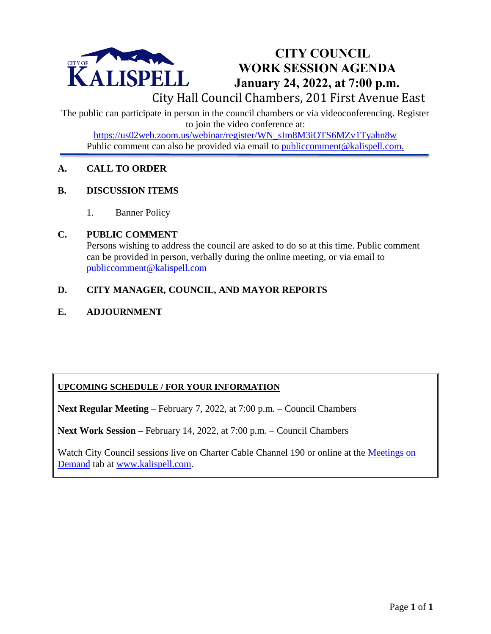

# **CITY COUNCIL WORK SESSION AGENDA January 24, 2022, at 7:00 p.m.**

City Hall Council Chambers, 201 First Avenue East

The public can participate in person in the council chambers or via videoconferencing. Register to join the video conference at:

[https://us02web.zoom.us/webinar/register/WN\\_sIm8M3iOTS6MZv1Tyahn8w](https://us02web.zoom.us/webinar/register/WN_sIm8M3iOTS6MZv1Tyahn8w) Public comment can also be provided via email to public comment@kalispell.com.

## **A. CALL TO ORDER**

## **B. DISCUSSION ITEMS**

1. Banner Policy

#### **C. PUBLIC COMMENT**

Persons wishing to address the council are asked to do so at this time. Public comment can be provided in person, verbally during the online meeting, or via email to [publiccomment@kalispell.com](mailto:publiccomment@kalispell.com)

# **D. CITY MANAGER, COUNCIL, AND MAYOR REPORTS**

# **E. ADJOURNMENT**

# **UPCOMING SCHEDULE / FOR YOUR INFORMATION**

**Next Regular Meeting** – February 7, 2022, at 7:00 p.m. – Council Chambers

**Next Work Session –** February 14, 2022, at 7:00 p.m. – Council Chambers

Watch City Council sessions live on Charter Cable Channel 190 or online at the Meetings on [Demand](http://www.kalispell.com/mayor_and_city_council/meetings.php) tab at [www.kalispell.com.](http://www.kalispell.com/)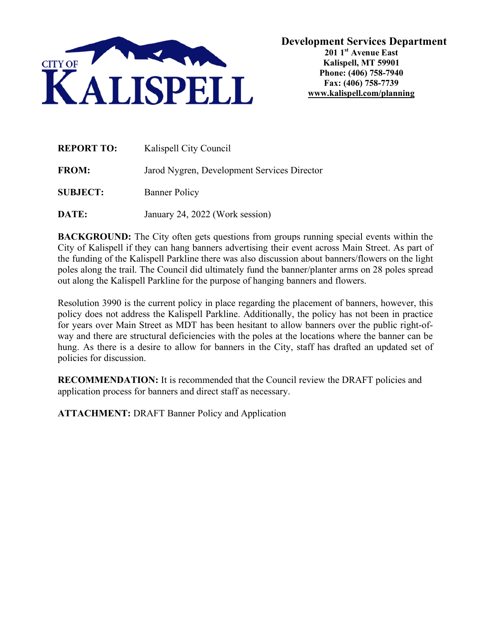

| <b>REPORT TO:</b> | Kalispell City Council                      |
|-------------------|---------------------------------------------|
| <b>FROM:</b>      | Jarod Nygren, Development Services Director |
| <b>SUBJECT:</b>   | <b>Banner Policy</b>                        |

**DATE:** January 24, 2022 (Work session)

**BACKGROUND:** The City often gets questions from groups running special events within the City of Kalispell if they can hang banners advertising their event across Main Street. As part of the funding of the Kalispell Parkline there was also discussion about banners/flowers on the light poles along the trail. The Council did ultimately fund the banner/planter arms on 28 poles spread out along the Kalispell Parkline for the purpose of hanging banners and flowers.

Resolution 3990 is the current policy in place regarding the placement of banners, however, this policy does not address the Kalispell Parkline. Additionally, the policy has not been in practice for years over Main Street as MDT has been hesitant to allow banners over the public right-ofway and there are structural deficiencies with the poles at the locations where the banner can be hung. As there is a desire to allow for banners in the City, staff has drafted an updated set of policies for discussion.

**RECOMMENDATION:** It is recommended that the Council review the DRAFT policies and application process for banners and direct staff as necessary.

**ATTACHMENT:** DRAFT Banner Policy and Application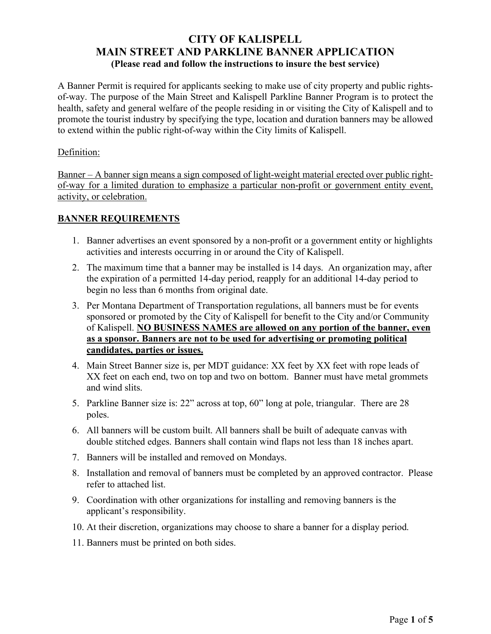# **CITY OF KALISPELL MAIN STREET AND PARKLINE BANNER APPLICATION (Please read and follow the instructions to insure the best service)**

A Banner Permit is required for applicants seeking to make use of city property and public rightsof-way. The purpose of the Main Street and Kalispell Parkline Banner Program is to protect the health, safety and general welfare of the people residing in or visiting the City of Kalispell and to promote the tourist industry by specifying the type, location and duration banners may be allowed to extend within the public right-of-way within the City limits of Kalispell.

#### Definition:

Banner – A banner sign means a sign composed of light-weight material erected over public rightof-way for a limited duration to emphasize a particular non-profit or government entity event, activity, or celebration.

## **BANNER REQUIREMENTS**

- 1. Banner advertises an event sponsored by a non-profit or a government entity or highlights activities and interests occurring in or around the City of Kalispell.
- 2. The maximum time that a banner may be installed is 14 days. An organization may, after the expiration of a permitted 14-day period, reapply for an additional 14-day period to begin no less than 6 months from original date.
- 3. Per Montana Department of Transportation regulations, all banners must be for events sponsored or promoted by the City of Kalispell for benefit to the City and/or Community of Kalispell. **NO BUSINESS NAMES are allowed on any portion of the banner, even as a sponsor. Banners are not to be used for advertising or promoting political candidates, parties or issues.**
- 4. Main Street Banner size is, per MDT guidance: XX feet by XX feet with rope leads of XX feet on each end, two on top and two on bottom. Banner must have metal grommets and wind slits.
- 5. Parkline Banner size is: 22" across at top, 60" long at pole, triangular. There are 28 poles.
- 6. All banners will be custom built. All banners shall be built of adequate canvas with double stitched edges. Banners shall contain wind flaps not less than 18 inches apart.
- 7. Banners will be installed and removed on Mondays.
- 8. Installation and removal of banners must be completed by an approved contractor. Please refer to attached list.
- 9. Coordination with other organizations for installing and removing banners is the applicant's responsibility.
- 10. At their discretion, organizations may choose to share a banner for a display period.
- 11. Banners must be printed on both sides.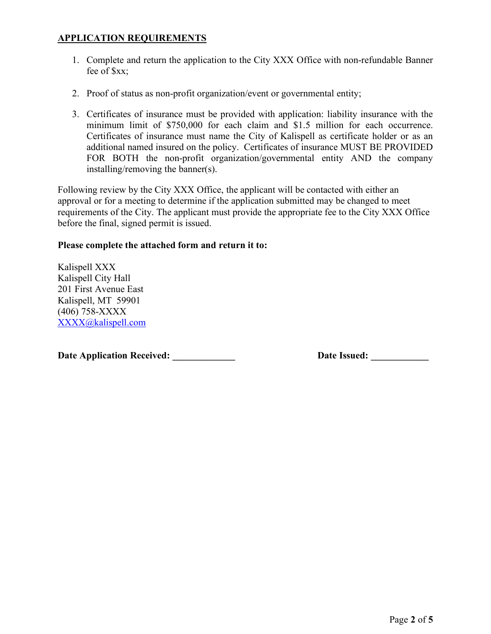#### **APPLICATION REQUIREMENTS**

- 1. Complete and return the application to the City XXX Office with non-refundable Banner fee of \$xx;
- 2. Proof of status as non-profit organization/event or governmental entity;
- 3. Certificates of insurance must be provided with application: liability insurance with the minimum limit of \$750,000 for each claim and \$1.5 million for each occurrence. Certificates of insurance must name the City of Kalispell as certificate holder or as an additional named insured on the policy. Certificates of insurance MUST BE PROVIDED FOR BOTH the non-profit organization/governmental entity AND the company installing/removing the banner(s).

Following review by the City XXX Office, the applicant will be contacted with either an approval or for a meeting to determine if the application submitted may be changed to meet requirements of the City. The applicant must provide the appropriate fee to the City XXX Office before the final, signed permit is issued.

#### **Please complete the attached form and return it to:**

Kalispell XXX Kalispell City Hall 201 First Avenue East Kalispell, MT 59901 (406) 758-XXXX [XXXX@kalispell.com](mailto:XXXX@kalispell.com)

**Date Application Received: \_\_\_\_\_\_\_\_\_\_\_\_\_ Date Issued: \_\_\_\_\_\_\_\_\_\_\_\_**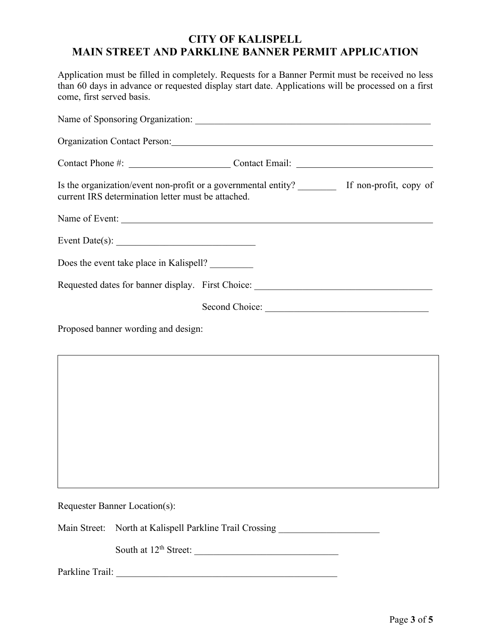# **CITY OF KALISPELL MAIN STREET AND PARKLINE BANNER PERMIT APPLICATION**

Application must be filled in completely. Requests for a Banner Permit must be received no less than 60 days in advance or requested display start date. Applications will be processed on a first come, first served basis.

| Contact Phone #: ____________________________Contact Email: _____________________                                                                      |                |  |
|--------------------------------------------------------------------------------------------------------------------------------------------------------|----------------|--|
| Is the organization/event non-profit or a governmental entity? __________ If non-profit, copy of<br>current IRS determination letter must be attached. |                |  |
| Name of Event:                                                                                                                                         |                |  |
| Event Date(s): $\qquad \qquad$                                                                                                                         |                |  |
| Does the event take place in Kalispell?                                                                                                                |                |  |
| Requested dates for banner display. First Choice: Manual Assembly Press, Requested dates for banner display.                                           |                |  |
|                                                                                                                                                        | Second Choice: |  |
| Proposed banner wording and design:                                                                                                                    |                |  |

Requester Banner Location(s):

Main Street: North at Kalispell Parkline Trail Crossing

South at 12th Street: \_\_\_\_\_\_\_\_\_\_\_\_\_\_\_\_\_\_\_\_\_\_\_\_\_\_\_\_\_\_

Parkline Trail: \_\_\_\_\_\_\_\_\_\_\_\_\_\_\_\_\_\_\_\_\_\_\_\_\_\_\_\_\_\_\_\_\_\_\_\_\_\_\_\_\_\_\_\_\_\_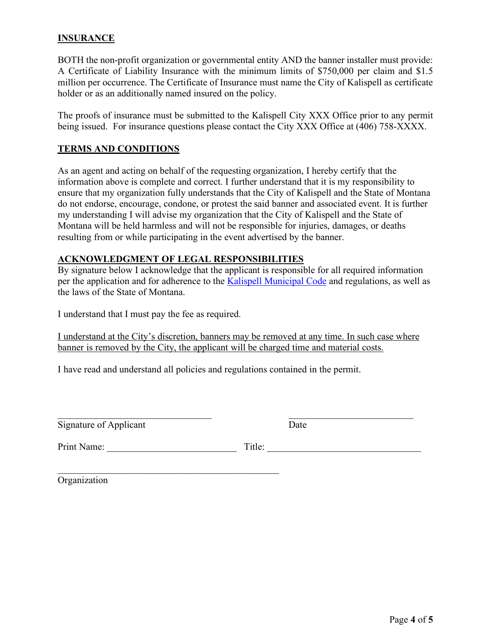#### **INSURANCE**

BOTH the non-profit organization or governmental entity AND the banner installer must provide: A Certificate of Liability Insurance with the minimum limits of \$750,000 per claim and \$1.5 million per occurrence. The Certificate of Insurance must name the City of Kalispell as certificate holder or as an additionally named insured on the policy.

The proofs of insurance must be submitted to the Kalispell City XXX Office prior to any permit being issued. For insurance questions please contact the City XXX Office at (406) 758-XXXX.

#### **TERMS AND CONDITIONS**

As an agent and acting on behalf of the requesting organization, I hereby certify that the information above is complete and correct. I further understand that it is my responsibility to ensure that my organization fully understands that the City of Kalispell and the State of Montana do not endorse, encourage, condone, or protest the said banner and associated event. It is further my understanding I will advise my organization that the City of Kalispell and the State of Montana will be held harmless and will not be responsible for injuries, damages, or deaths resulting from or while participating in the event advertised by the banner.

#### **ACKNOWLEDGMENT OF LEGAL RESPONSIBILITIES**

By signature below I acknowledge that the applicant is responsible for all required information per the application and for adherence to the **Kalispell Municipal Code** and regulations, as well as the laws of the State of Montana.

I understand that I must pay the fee as required.

 $\mathcal{L}_\mathcal{L}$ 

I understand at the City's discretion, banners may be removed at any time. In such case where banner is removed by the City, the applicant will be charged time and material costs.

I have read and understand all policies and regulations contained in the permit.

| Signature of Applicant | Jate |  |
|------------------------|------|--|

Print Name: \_\_\_\_\_\_\_\_\_\_\_\_\_\_\_\_\_\_\_\_\_\_\_\_\_\_\_ Title: \_\_\_\_\_\_\_\_\_\_\_\_\_\_\_\_\_\_\_\_\_\_\_\_\_\_\_\_\_\_\_\_

Organization